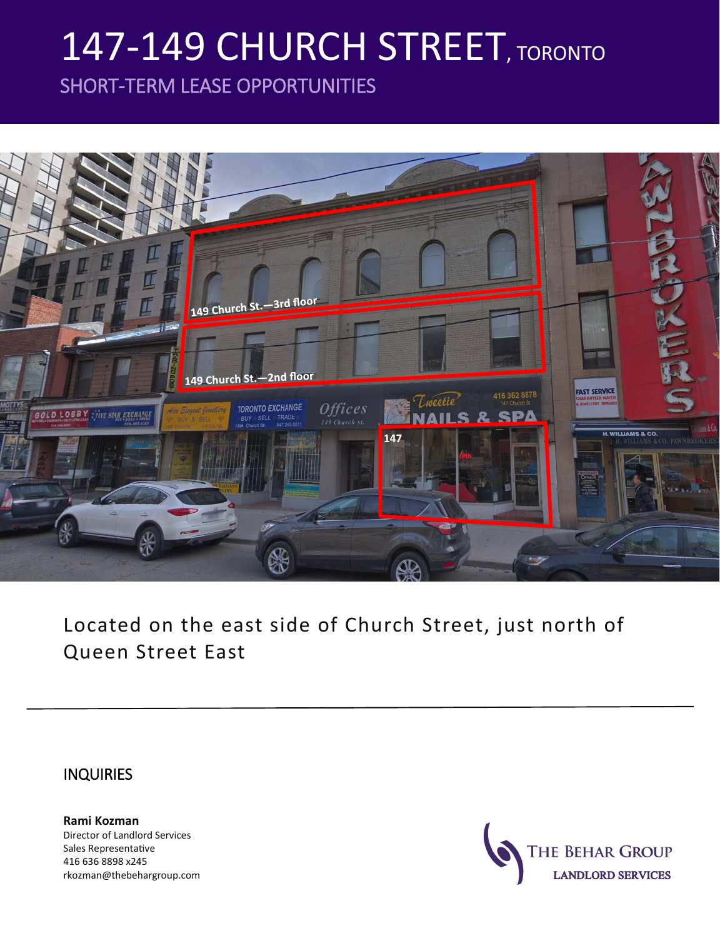# 147-149 CHURCH STREET, TORONTO

SHORT-TERM LEASE OPPORTUNITIES



Located on the east side of Church Street, just north of Queen Street East

#### **INQUIRIES**

**Rami Kozman** Director of Landlord Services Sales Representative 416 636 8898 x245 rkozman@thebehargroup.com